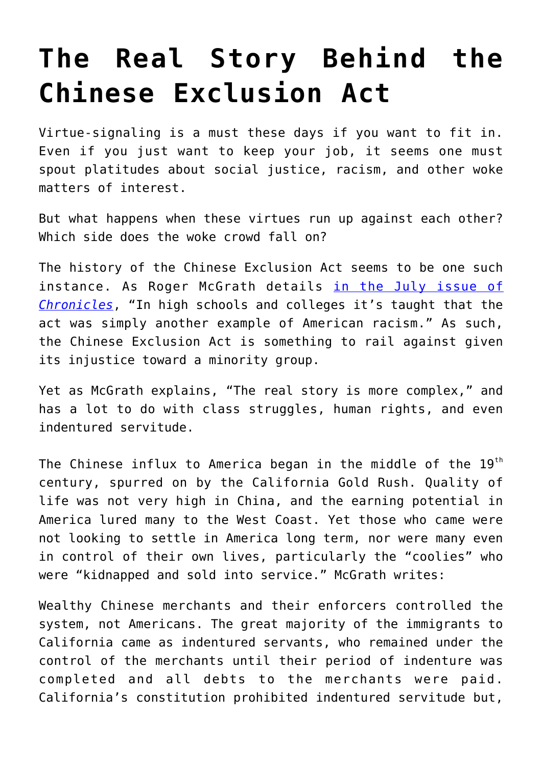## **[The Real Story Behind the](https://intellectualtakeout.org/2020/07/the-real-story-behind-the-chinese-exclusion-act/) [Chinese Exclusion Act](https://intellectualtakeout.org/2020/07/the-real-story-behind-the-chinese-exclusion-act/)**

Virtue-signaling is a must these days if you want to fit in. Even if you just want to keep your job, it seems one must spout platitudes about social justice, racism, and other woke matters of interest.

But what happens when these virtues run up against each other? Which side does the woke crowd fall on?

The history of the Chinese Exclusion Act seems to be one such instance. As Roger McGrath details [in the July issue of](https://www.chroniclesmagazine.org/2020/July/44/7/magazine/article/10886665/) *[Chronicles](https://www.chroniclesmagazine.org/2020/July/44/7/magazine/article/10886665/)*, "In high schools and colleges it's taught that the act was simply another example of American racism." As such, the Chinese Exclusion Act is something to rail against given its injustice toward a minority group.

Yet as McGrath explains, "The real story is more complex," and has a lot to do with class struggles, human rights, and even indentured servitude.

The Chinese influx to America began in the middle of the  $19<sup>th</sup>$ century, spurred on by the California Gold Rush. Quality of life was not very high in China, and the earning potential in America lured many to the West Coast. Yet those who came were not looking to settle in America long term, nor were many even in control of their own lives, particularly the "coolies" who were "kidnapped and sold into service." McGrath writes:

Wealthy Chinese merchants and their enforcers controlled the system, not Americans. The great majority of the immigrants to California came as indentured servants, who remained under the control of the merchants until their period of indenture was completed and all debts to the merchants were paid. California's constitution prohibited indentured servitude but,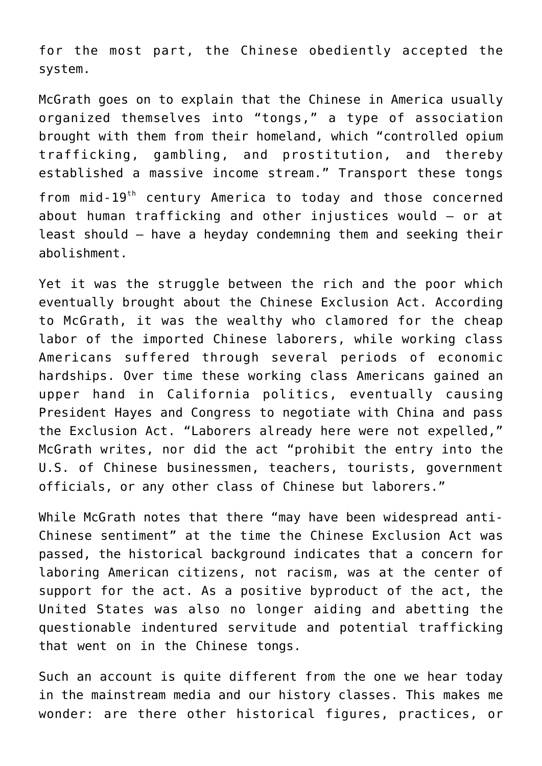for the most part, the Chinese obediently accepted the system.

McGrath goes on to explain that the Chinese in America usually organized themselves into "tongs," a type of association brought with them from their homeland, which "controlled opium trafficking, gambling, and prostitution, and thereby established a massive income stream." Transport these tongs from mid-19th century America to today and those concerned about human trafficking and other injustices would – or at least should – have a heyday condemning them and seeking their abolishment.

Yet it was the struggle between the rich and the poor which eventually brought about the Chinese Exclusion Act. According to McGrath, it was the wealthy who clamored for the cheap labor of the imported Chinese laborers, while working class Americans suffered through several periods of economic hardships. Over time these working class Americans gained an upper hand in California politics, eventually causing President Hayes and Congress to negotiate with China and pass the Exclusion Act. "Laborers already here were not expelled," McGrath writes, nor did the act "prohibit the entry into the U.S. of Chinese businessmen, teachers, tourists, government officials, or any other class of Chinese but laborers."

While McGrath notes that there "may have been widespread anti-Chinese sentiment" at the time the Chinese Exclusion Act was passed, the historical background indicates that a concern for laboring American citizens, not racism, was at the center of support for the act. As a positive byproduct of the act, the United States was also no longer aiding and abetting the questionable indentured servitude and potential trafficking that went on in the Chinese tongs.

Such an account is quite different from the one we hear today in the mainstream media and our history classes. This makes me wonder: are there other historical figures, practices, or